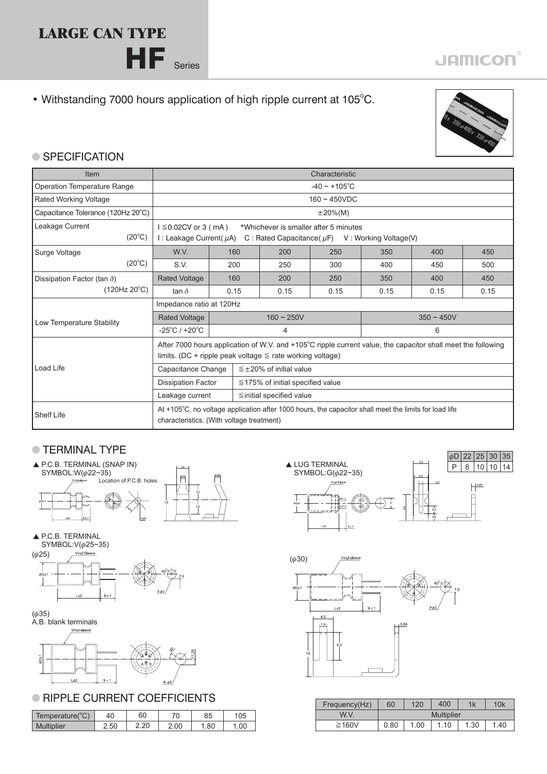### **LARGE CAN TYPE**

HF Series

• Withstanding 7000 hours application of high ripple current at 105°C.



#### **SPECIFICATION**

| Item                               | Characteristic                                                                                                                                     |      |                                        |                    |      |      |      |  |  |  |
|------------------------------------|----------------------------------------------------------------------------------------------------------------------------------------------------|------|----------------------------------------|--------------------|------|------|------|--|--|--|
| Operation Temperature Range        | $-40 \sim +105$ °C                                                                                                                                 |      |                                        |                    |      |      |      |  |  |  |
| <b>Rated Working Voltage</b>       | $160 - 450VDC$                                                                                                                                     |      |                                        |                    |      |      |      |  |  |  |
| Capacitance Tolerance (120Hz 20°C) | $\pm 20\%$ (M)                                                                                                                                     |      |                                        |                    |      |      |      |  |  |  |
| Leakage Current                    | $1 \leq 0.02$ CV or 3 (mA)                                                                                                                         |      | *Whichever is smaller after 5 minutes  |                    |      |      |      |  |  |  |
| $(20^{\circ}C)$                    | I : Leakage Current( $\mu$ A)<br>C: Rated Capacitance ( $\mu$ F) V: Working Voltage (V)                                                            |      |                                        |                    |      |      |      |  |  |  |
| Surge Voltage                      | W.V.                                                                                                                                               | 160  | 200                                    | 250                | 350  | 400  | 450  |  |  |  |
| $(20^{\circ}C)$                    | S.V.                                                                                                                                               | 200  | 250                                    | 300                | 400  | 450  | 500  |  |  |  |
| Dissipation Factor (tan $\delta$ ) | <b>Rated Voltage</b>                                                                                                                               | 160  | 200                                    | 250                | 350  | 400  | 450  |  |  |  |
| (120Hz 20°C)                       | tan $\delta$                                                                                                                                       | 0.15 | 0.15                                   | 0.15               | 0.15 | 0.15 | 0.15 |  |  |  |
|                                    | Impedance ratio at 120Hz                                                                                                                           |      |                                        |                    |      |      |      |  |  |  |
| Low Temperature Stability          | <b>Rated Voltage</b>                                                                                                                               |      | $160 \sim 250V$                        | $350 \approx 450V$ |      |      |      |  |  |  |
|                                    | $-25^{\circ}$ C / +20 $^{\circ}$ C                                                                                                                 |      | 4                                      |                    | 6    |      |      |  |  |  |
|                                    | After 7000 hours application of W.V. and +105°C ripple current value, the capacitor shall meet the following                                       |      |                                        |                    |      |      |      |  |  |  |
|                                    | limits. (DC + ripple peak voltage $\leq$ rate working voltage)                                                                                     |      |                                        |                    |      |      |      |  |  |  |
| Load Life                          | Capacitance Change                                                                                                                                 |      | $\leq \pm 20\%$ of initial value       |                    |      |      |      |  |  |  |
|                                    | <b>Dissipation Factor</b>                                                                                                                          |      | $\leq$ 175% of initial specified value |                    |      |      |      |  |  |  |
|                                    | Leakage current                                                                                                                                    |      | $\leq$ initial specified value         |                    |      |      |      |  |  |  |
| <b>Shelf Life</b>                  | At +105°C, no voltage application after 1000 hours, the capacitor shall meet the limits for load life<br>characteristics. (With voltage treatment) |      |                                        |                    |      |      |      |  |  |  |

#### **TERMINAL TYPE**







#### $(\phi 35)$



#### **RIPPLE CURRENT COEFFICIENTS**

|                 |      |      |      |     |      | .     |
|-----------------|------|------|------|-----|------|-------|
| Temperature(°C) | 40   | 60   | 70   | 85  | 105  | W.V.  |
| Multiplier      | 2.50 | 2.20 | 2.00 | .80 | .00. | ≥160V |





| Frequency(Hz) | 60                | 120  | 1k  | 10k  |      |  |  |  |  |
|---------------|-------------------|------|-----|------|------|--|--|--|--|
| W.V.          | <b>Multiplier</b> |      |     |      |      |  |  |  |  |
| ≥160V         | 0.80              | 1.00 | .10 | 1.30 | 1.40 |  |  |  |  |

## **JAMICON®**